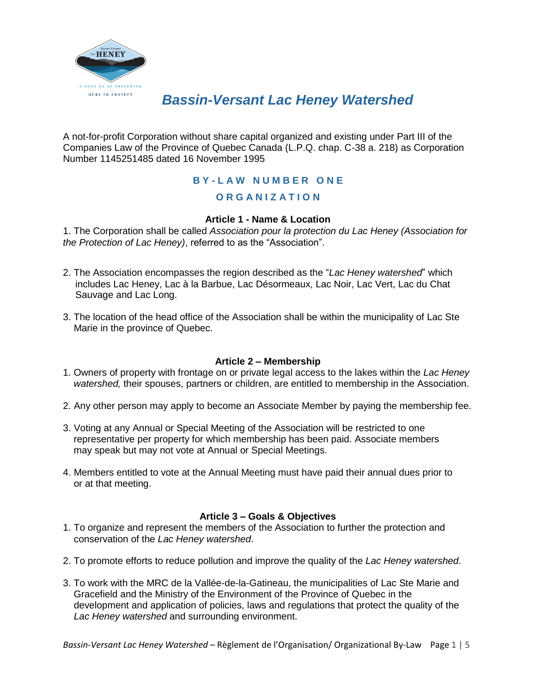

# *Bassin-Versant Lac Heney Watershed*

A not-for-profit Corporation without share capital organized and existing under Part III of the Companies Law of the Province of Quebec Canada (L.P.Q. chap. C-38 a. 218) as Corporation Number 1145251485 dated 16 November 1995

# **B Y - L A W N U M B E R O N E**

# **O R G A N I Z A T I O N**

# **Article 1 - Name & Location**

1. The Corporation shall be called *Association pour la protection du Lac Heney (Association for the Protection of Lac Heney)*, referred to as the "Association".

- 2. The Association encompasses the region described as the "*Lac Heney watershed*" which includes Lac Heney, Lac à la Barbue, Lac Désormeaux, Lac Noir, Lac Vert, Lac du Chat Sauvage and Lac Long.
- 3. The location of the head office of the Association shall be within the municipality of Lac Ste Marie in the province of Quebec.

# **Article 2 – Membership**

- 1. Owners of property with frontage on or private legal access to the lakes within the *Lac Heney watershed,* their spouses, partners or children, are entitled to membership in the Association.
- 2. Any other person may apply to become an Associate Member by paying the membership fee.
- 3. Voting at any Annual or Special Meeting of the Association will be restricted to one representative per property for which membership has been paid. Associate members may speak but may not vote at Annual or Special Meetings.
- 4. Members entitled to vote at the Annual Meeting must have paid their annual dues prior to or at that meeting.

# **Article 3 – Goals & Objectives**

- 1. To organize and represent the members of the Association to further the protection and conservation of the *Lac Heney watershed*.
- 2. To promote efforts to reduce pollution and improve the quality of the *Lac Heney watershed*.
- 3. To work with the MRC de la Vallée-de-la-Gatineau, the municipalities of Lac Ste Marie and Gracefield and the Ministry of the Environment of the Province of Quebec in the development and application of policies, laws and regulations that protect the quality of the *Lac Heney watershed* and surrounding environment.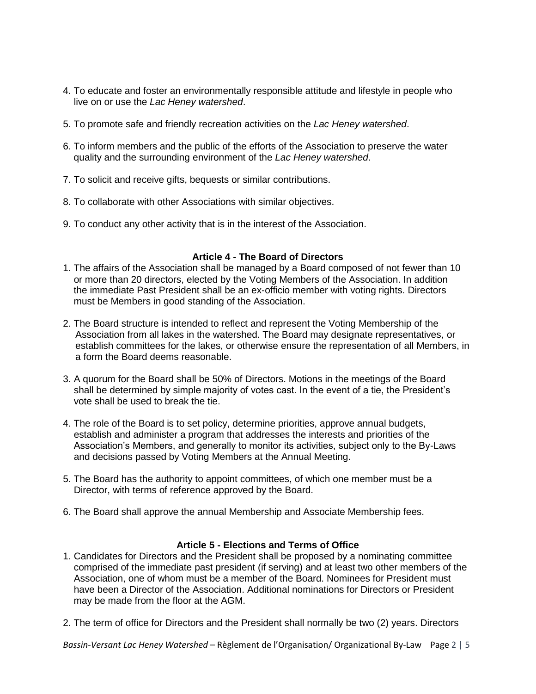- 4. To educate and foster an environmentally responsible attitude and lifestyle in people who live on or use the *Lac Heney watershed*.
- 5. To promote safe and friendly recreation activities on the *Lac Heney watershed*.
- 6. To inform members and the public of the efforts of the Association to preserve the water quality and the surrounding environment of the *Lac Heney watershed*.
- 7. To solicit and receive gifts, bequests or similar contributions.
- 8. To collaborate with other Associations with similar objectives.
- 9. To conduct any other activity that is in the interest of the Association.

### **Article 4 - The Board of Directors**

- 1. The affairs of the Association shall be managed by a Board composed of not fewer than 10 or more than 20 directors, elected by the Voting Members of the Association. In addition the immediate Past President shall be an ex-officio member with voting rights. Directors must be Members in good standing of the Association.
- 2. The Board structure is intended to reflect and represent the Voting Membership of the Association from all lakes in the watershed. The Board may designate representatives, or establish committees for the lakes, or otherwise ensure the representation of all Members, in a form the Board deems reasonable.
- 3. A quorum for the Board shall be 50% of Directors. Motions in the meetings of the Board shall be determined by simple majority of votes cast. In the event of a tie, the President's vote shall be used to break the tie.
- 4. The role of the Board is to set policy, determine priorities, approve annual budgets, establish and administer a program that addresses the interests and priorities of the Association's Members, and generally to monitor its activities, subject only to the By-Laws and decisions passed by Voting Members at the Annual Meeting.
- 5. The Board has the authority to appoint committees, of which one member must be a Director, with terms of reference approved by the Board.
- 6. The Board shall approve the annual Membership and Associate Membership fees.

# **Article 5 - Elections and Terms of Office**

- 1. Candidates for Directors and the President shall be proposed by a nominating committee comprised of the immediate past president (if serving) and at least two other members of the Association, one of whom must be a member of the Board. Nominees for President must have been a Director of the Association. Additional nominations for Directors or President may be made from the floor at the AGM.
- 2. The term of office for Directors and the President shall normally be two (2) years. Directors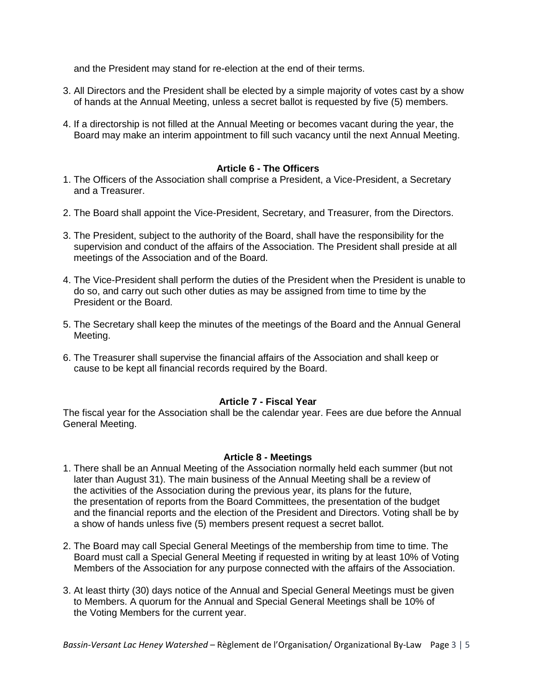and the President may stand for re-election at the end of their terms.

- 3. All Directors and the President shall be elected by a simple majority of votes cast by a show of hands at the Annual Meeting, unless a secret ballot is requested by five (5) members.
- 4. If a directorship is not filled at the Annual Meeting or becomes vacant during the year, the Board may make an interim appointment to fill such vacancy until the next Annual Meeting.

## **Article 6 - The Officers**

- 1. The Officers of the Association shall comprise a President, a Vice-President, a Secretary and a Treasurer.
- 2. The Board shall appoint the Vice-President, Secretary, and Treasurer, from the Directors.
- 3. The President, subject to the authority of the Board, shall have the responsibility for the supervision and conduct of the affairs of the Association. The President shall preside at all meetings of the Association and of the Board.
- 4. The Vice-President shall perform the duties of the President when the President is unable to do so, and carry out such other duties as may be assigned from time to time by the President or the Board.
- 5. The Secretary shall keep the minutes of the meetings of the Board and the Annual General Meeting.
- 6. The Treasurer shall supervise the financial affairs of the Association and shall keep or cause to be kept all financial records required by the Board.

#### **Article 7 - Fiscal Year**

The fiscal year for the Association shall be the calendar year. Fees are due before the Annual General Meeting.

#### **Article 8 - Meetings**

- 1. There shall be an Annual Meeting of the Association normally held each summer (but not later than August 31). The main business of the Annual Meeting shall be a review of the activities of the Association during the previous year, its plans for the future, the presentation of reports from the Board Committees, the presentation of the budget and the financial reports and the election of the President and Directors. Voting shall be by a show of hands unless five (5) members present request a secret ballot.
- 2. The Board may call Special General Meetings of the membership from time to time. The Board must call a Special General Meeting if requested in writing by at least 10% of Voting Members of the Association for any purpose connected with the affairs of the Association.
- 3. At least thirty (30) days notice of the Annual and Special General Meetings must be given to Members. A quorum for the Annual and Special General Meetings shall be 10% of the Voting Members for the current year.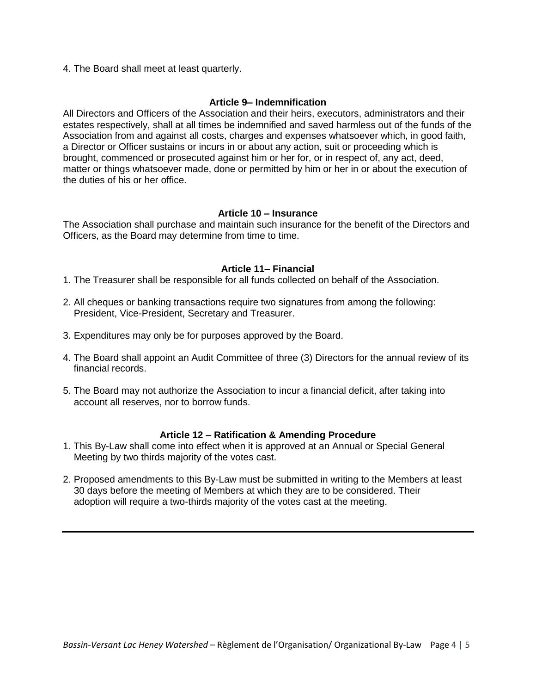4. The Board shall meet at least quarterly.

#### **Article 9– Indemnification**

All Directors and Officers of the Association and their heirs, executors, administrators and their estates respectively, shall at all times be indemnified and saved harmless out of the funds of the Association from and against all costs, charges and expenses whatsoever which, in good faith, a Director or Officer sustains or incurs in or about any action, suit or proceeding which is brought, commenced or prosecuted against him or her for, or in respect of, any act, deed, matter or things whatsoever made, done or permitted by him or her in or about the execution of the duties of his or her office.

### **Article 10 – Insurance**

The Association shall purchase and maintain such insurance for the benefit of the Directors and Officers, as the Board may determine from time to time.

### **Article 11– Financial**

- 1. The Treasurer shall be responsible for all funds collected on behalf of the Association.
- 2. All cheques or banking transactions require two signatures from among the following: President, Vice-President, Secretary and Treasurer.
- 3. Expenditures may only be for purposes approved by the Board.
- 4. The Board shall appoint an Audit Committee of three (3) Directors for the annual review of its financial records.
- 5. The Board may not authorize the Association to incur a financial deficit, after taking into account all reserves, nor to borrow funds.

#### **Article 12 – Ratification & Amending Procedure**

- 1. This By-Law shall come into effect when it is approved at an Annual or Special General Meeting by two thirds majority of the votes cast.
- 2. Proposed amendments to this By-Law must be submitted in writing to the Members at least 30 days before the meeting of Members at which they are to be considered. Their adoption will require a two-thirds majority of the votes cast at the meeting.